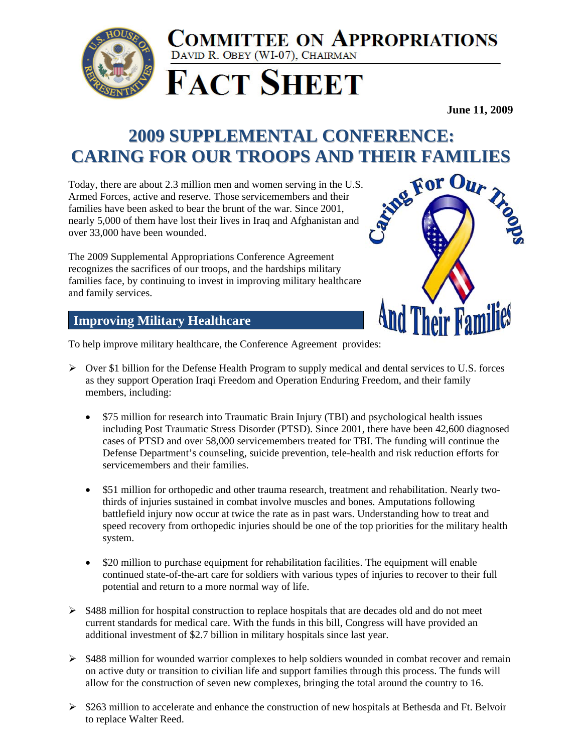

## **COMMITTEE ON APPROPRIATIONS** DAVID R. OBEY (WI-07), CHAIRMAN

**FACT SHEET** 

**June 11, 2009**

## **2009 SUPPLEMENTAL CONFERENCE:**

**CARING FOR OUR TROOPS AND THEIR FAMILIES**<br>
Foday, there are about 2.3 million men and women serving in the U.S.<br>
Armed Forces, active and reserve. Those servicemembers and their<br>
Tamilies have been asked to bear the brunt Today, there are about 2.3 million men and women serving in the U.S. Armed Forces, active and reserve. Those servicemembers and their families have been asked to bear the brunt of the war. Since 2001, nearly 5,000 of them have lost their lives in Iraq and Afghanistan and over 33,000 have been wounded.

The 2009 Supplemental Appropriations Conference Agreement recognizes the sacrifices of our troops, and the hardships military families face, by continuing to invest in improving military healthcare and family services.



## **Improving Military Healthcare**

To help improve military healthcare, the Conference Agreement provides:

- $\triangleright$  Over \$1 billion for the Defense Health Program to supply medical and dental services to U.S. forces as they support Operation Iraqi Freedom and Operation Enduring Freedom, and their family members, including:
	- \$75 million for research into Traumatic Brain Injury (TBI) and psychological health issues including Post Traumatic Stress Disorder (PTSD). Since 2001, there have been 42,600 diagnosed cases of PTSD and over 58,000 servicemembers treated for TBI. The funding will continue the Defense Department's counseling, suicide prevention, tele-health and risk reduction efforts for servicemembers and their families.
	- \$51 million for orthopedic and other trauma research, treatment and rehabilitation. Nearly twothirds of injuries sustained in combat involve muscles and bones. Amputations following battlefield injury now occur at twice the rate as in past wars. Understanding how to treat and speed recovery from orthopedic injuries should be one of the top priorities for the military health system.
	- \$20 million to purchase equipment for rehabilitation facilities. The equipment will enable continued state-of-the-art care for soldiers with various types of injuries to recover to their full potential and return to a more normal way of life.
- $\triangleright$  \$488 million for hospital construction to replace hospitals that are decades old and do not meet current standards for medical care. With the funds in this bill, Congress will have provided an additional investment of \$2.7 billion in military hospitals since last year.
- ¾ \$488 million for wounded warrior complexes to help soldiers wounded in combat recover and remain on active duty or transition to civilian life and support families through this process. The funds will allow for the construction of seven new complexes, bringing the total around the country to 16.
- $\geq$  \$263 million to accelerate and enhance the construction of new hospitals at Bethesda and Ft. Belvoir to replace Walter Reed.